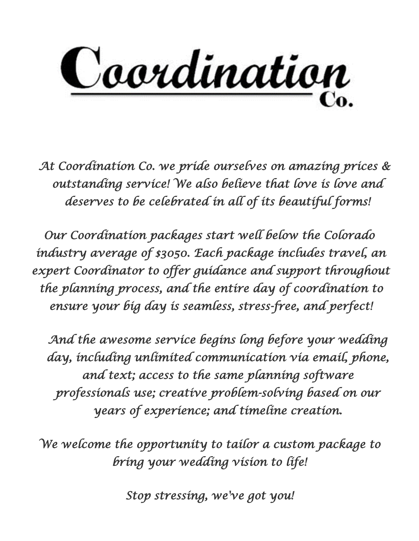

*At Coordination Co. we pride ourselves on amazing prices & outstanding service! We also believe that love is love and deserves to be celebrated in all of its beautiful forms!* 

*Our Coordination packages start well below the Colorado industry average of \$3050. Each package includes travel, an*  expert Coordinator to offer guidance and support throughout *the planning process, and the entire day of coordination to ensure your big day is seamless, stress-free, and perfect!*

*And the awesome service begins long before your wedding day, including unlimited communication via email, phone, and text; access to the same planning software professionals use; creative problem-solving based on our years of experience; and timeline creation.*

*We welcome the opportunity to tailor a custom package to bring your wedding vision to life!*

*Stop stressing, we've got you!*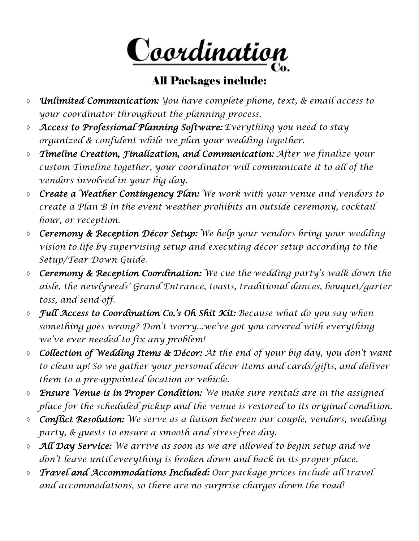<u>Coordination</u>

### All Packages include:

- *Unlimited Communication: You have complete phone, text, & email access to your coordinator throughout the planning process.*
- *Access to Professional Planning Software: Everything you need to stay organized & confident while we plan your wedding together.*
- *Timeline Creation, Finalization, and Communication: After we finalize your custom Timeline together, your coordinator will communicate it to all of the vendors involved in your big day.*
- *Create a Weather Contingency Plan: We work with your venue and vendors to create a Plan B in the event weather prohibits an outside ceremony, cocktail hour, or reception.*
- *Ceremony & Reception Décor Setup: We help your vendors bring your wedding vision to life by supervising setup and executing décor setup according to the Setup/Tear Down Guide.*
- *Ceremony & Reception Coordination: We cue the wedding party's walk down the aisle, the newlyweds' Grand Entrance, toasts, traditional dances, bouquet/garter toss, and send-off.*
- *Full Access to Coordination Co.'s Oh Shit Kit: Because what do you say when something goes wrong? Don't worry...we've got you covered with everything we've ever needed to fix any problem!*
- *Collection of Wedding Items & Décor: At the end of your big day, you don't want to clean up! So we gather your personal décor items and cards/gifts, and deliver them to a pre-appointed location or vehicle.*
- *Ensure Venue is in Proper Condition: We make sure rentals are in the assigned place for the scheduled pickup and the venue is restored to its original condition.*
- *Conflict Resolution: We serve as a liaison between our couple, vendors, wedding party, & guests to ensure a smooth and stress-free day.*
- *All Day Service: We arrive as soon as we are allowed to begin setup and we don't leave until everything is broken down and back in its proper place.*
- *Travel and Accommodations Included: Our package prices include all travel and accommodations, so there are no surprise charges down the road!*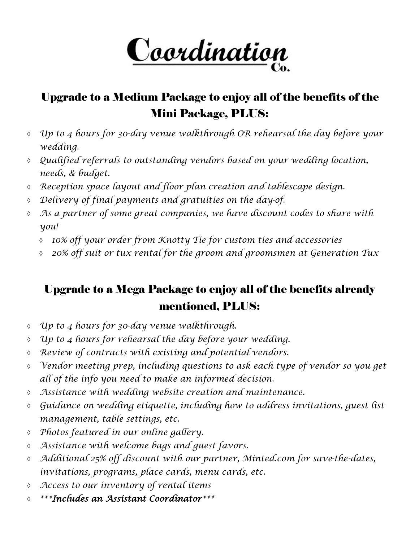<u>Coordination</u>

## Upgrade to a Medium Package to enjoy all of the benefits of the Mini Package, PLUS:

- *Up to 4 hours for 30-day venue walkthrough OR rehearsal the day before your wedding.*
- *Qualified referrals to outstanding vendors based on your wedding location, needs, & budget.*
- *Reception space layout and floor plan creation and tablescape design.*
- *Delivery of final payments and gratuities on the day-of.*
- *As a partner of some great companies, we have discount codes to share with you!*
	- *10% off your order from Knotty Tie for custom ties and accessories*
	- *20% off suit or tux rental for the groom and groomsmen at Generation Tux*

# Upgrade to a Mega Package to enjoy all of the benefits already mentioned, PLUS:

- *Up to 4 hours for 30-day venue walkthrough.*
- *Up to 4 hours for rehearsal the day before your wedding.*
- *Review of contracts with existing and potential vendors.*
- *Vendor meeting prep, including questions to ask each type of vendor so you get all of the info you need to make an informed decision.*
- *Assistance with wedding website creation and maintenance.*
- *Guidance on wedding etiquette, including how to address invitations, guest list management, table settings, etc.*
- *Photos featured in our online gallery.*
- *Assistance with welcome bags and guest favors.*
- *Additional 25% off discount with our partner, Minted.com for save-the-dates, invitations, programs, place cards, menu cards, etc.*
- *Access to our inventory of rental items*
- *\*\*\*Includes an Assistant Coordinator\*\*\**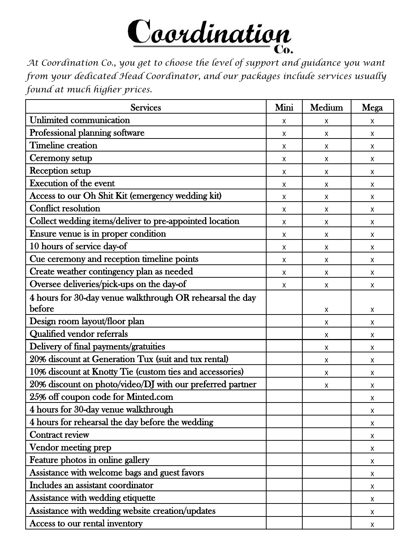

*At Coordination Co., you get to choose the level of support and guidance you want from your dedicated Head Coordinator, and our packages include services usually found at much higher prices.*

| <b>Services</b>                                           | Mini | Medium | Mega |
|-----------------------------------------------------------|------|--------|------|
| Unlimited communication                                   | Χ    | X      | X    |
| Professional planning software                            | Χ    | X      | Χ    |
| <b>Timeline creation</b>                                  | Χ    | X      | Χ    |
| Ceremony setup                                            | Χ    | X      | X    |
| Reception setup                                           | X    | X      | X    |
| <b>Execution of the event</b>                             | X    | X      | X    |
| Access to our Oh Shit Kit (emergency wedding kit)         | X    | X      | X    |
| <b>Conflict resolution</b>                                | X    | X      | X    |
| Collect wedding items/deliver to pre-appointed location   | X    | X      | X    |
| Ensure venue is in proper condition                       | X    | X      | X    |
| 10 hours of service day-of                                | X    | X      | X    |
| Cue ceremony and reception timeline points                | X    | Χ      | X    |
| Create weather contingency plan as needed                 | X    | X      | X    |
| Oversee deliveries/pick-ups on the day-of                 | X    | Χ      | Χ    |
| 4 hours for 30-day venue walkthrough OR rehearsal the day |      |        |      |
| before                                                    |      | X      | Χ    |
| Design room layout/floor plan                             |      | X      | Χ    |
| <b>Qualified vendor referrals</b>                         |      | X      | Χ    |
| Delivery of final payments/gratuities                     |      | X      | X    |
| 20% discount at Generation Tux (suit and tux rental)      |      | X      | X    |
| 10% discount at Knotty Tie (custom ties and accessories)  |      | X      | X    |
| 20% discount on photo/video/DJ with our preferred partner |      | X      | X    |
| 25% off coupon code for Minted.com                        |      |        | X    |
| 4 hours for 30-day venue walkthrough                      |      |        | Χ    |
| 4 hours for rehearsal the day before the wedding          |      |        | X    |
| Contract review                                           |      |        | Χ    |
| Vendor meeting prep                                       |      |        | Χ    |
| Feature photos in online gallery                          |      |        | Χ    |
| Assistance with welcome bags and guest favors             |      |        | X    |
| Includes an assistant coordinator                         |      |        | X    |
| Assistance with wedding etiquette                         |      |        | X    |
| Assistance with wedding website creation/updates          |      |        | Χ    |
| Access to our rental inventory                            |      |        | Χ    |